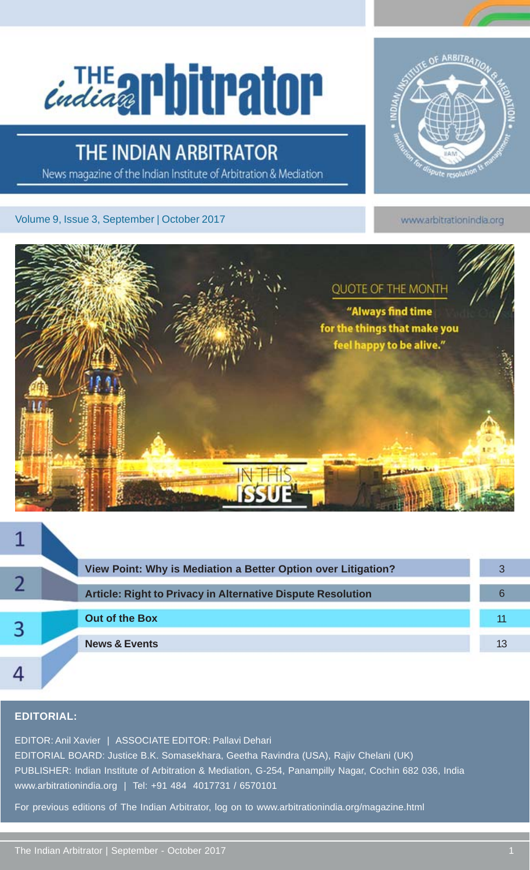# Cindia applituator

### **THE INDIAN ARBITRATOR**

News magazine of the Indian Institute of Arbitration & Mediation

Volume 9, Issue 3, September | October 2017



www.arbitrationindia.org



|   |  | View Point: Why is Mediation a Better Option over Litigation? |    |
|---|--|---------------------------------------------------------------|----|
|   |  | Article: Right to Privacy in Alternative Dispute Resolution   |    |
| B |  | <b>Out of the Box</b>                                         |    |
|   |  | <b>News &amp; Events</b>                                      | 13 |
|   |  |                                                               |    |

#### **EDITORIAL:**

EDITOR: Anil Xavier | ASSOCIATE EDITOR: Pallavi Dehari EDITORIAL BOARD: Justice B.K. Somasekhara, Geetha Ravindra (USA), Rajiv Chelani (UK) PUBLISHER: Indian Institute of Arbitration & Mediation, G-254, Panampilly Nagar, Cochin 682 036, India www.arbitrationindia.org | Tel: +91 484 4017731 / 6570101

For previous editions of The Indian Arbitrator, log on to www.arbitrationindia.org/magazine.html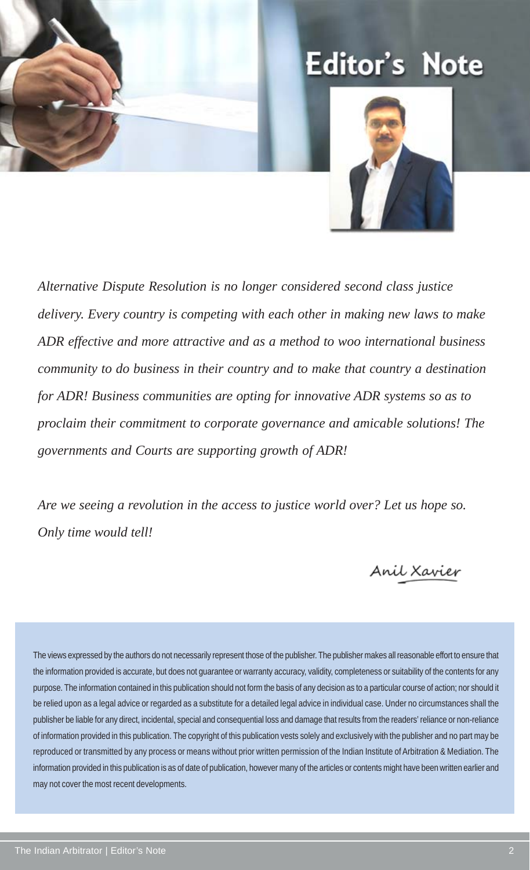

# **Editor's Note**



*Alternative Dispute Resolution is no longer considered second class justice delivery. Every country is competing with each other in making new laws to make ADR effective and more attractive and as a method to woo international business community to do business in their country and to make that country a destination for ADR! Business communities are opting for innovative ADR systems so as to proclaim their commitment to corporate governance and amicable solutions! The governments and Courts are supporting growth of ADR!*

*Are we seeing a revolution in the access to justice world over? Let us hope so. Only time would tell!*

Anil Xavier

The views expressed by the authors do not necessarily represent those of the publisher. The publisher makes all reasonable effort to ensure that the information provided is accurate, but does not guarantee or warranty accuracy, validity, completeness or suitability of the contents for any purpose. The information contained in this publication should not form the basis of any decision as to a particular course of action; nor should it be relied upon as a legal advice or regarded as a substitute for a detailed legal advice in individual case. Under no circumstances shall the publisher be liable for any direct, incidental, special and consequential loss and damage that results from the readers' reliance or non-reliance of information provided in this publication. The copyright of this publication vests solely and exclusively with the publisher and no part may be reproduced or transmitted by any process or means without prior written permission of the Indian Institute of Arbitration & Mediation. The information provided in this publication is as of date of publication, however many of the articles or contents might have been written earlier and may not cover the most recent developments.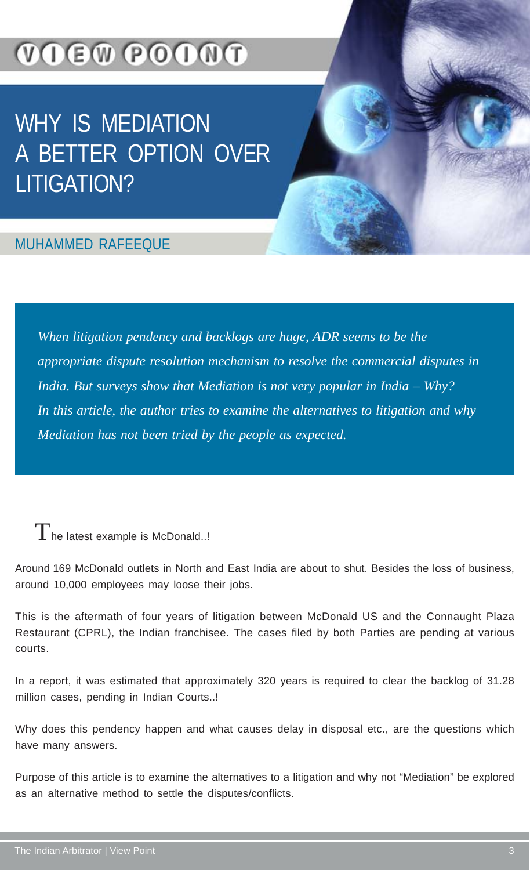# **VOEW POONT**

# WHY IS MEDIATION A BETTER OPTION OVER LITIGATION?

### MUHAMMED RAFEEQUE

*When litigation pendency and backlogs are huge, ADR seems to be the appropriate dispute resolution mechanism to resolve the commercial disputes in India. But surveys show that Mediation is not very popular in India – Why? In this article, the author tries to examine the alternatives to litigation and why Mediation has not been tried by the people as expected.*

 $T$ he latest example is McDonald..!

Around 169 McDonald outlets in North and East India are about to shut. Besides the loss of business, around 10,000 employees may loose their jobs.

This is the aftermath of four years of litigation between McDonald US and the Connaught Plaza Restaurant (CPRL), the Indian franchisee. The cases filed by both Parties are pending at various courts.

In a report, it was estimated that approximately 320 years is required to clear the backlog of 31.28 million cases, pending in Indian Courts..!

Why does this pendency happen and what causes delay in disposal etc., are the questions which have many answers.

Purpose of this article is to examine the alternatives to a litigation and why not "Mediation" be explored as an alternative method to settle the disputes/conflicts.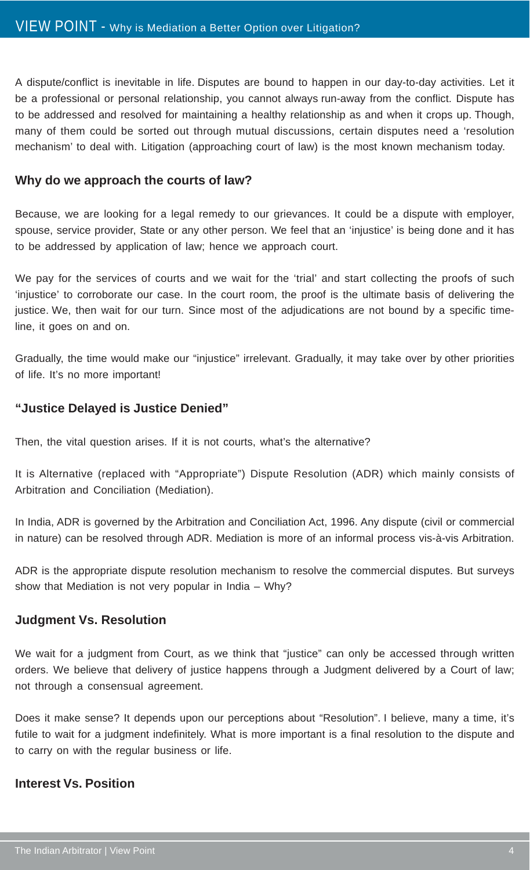A dispute/conflict is inevitable in life. Disputes are bound to happen in our day-to-day activities. Let it be a professional or personal relationship, you cannot always run-away from the conflict. Dispute has to be addressed and resolved for maintaining a healthy relationship as and when it crops up. Though, many of them could be sorted out through mutual discussions, certain disputes need a 'resolution mechanism' to deal with. Litigation (approaching court of law) is the most known mechanism today.

#### **Why do we approach the courts of law?**

Because, we are looking for a legal remedy to our grievances. It could be a dispute with employer, spouse, service provider, State or any other person. We feel that an 'injustice' is being done and it has to be addressed by application of law; hence we approach court.

We pay for the services of courts and we wait for the 'trial' and start collecting the proofs of such 'injustice' to corroborate our case. In the court room, the proof is the ultimate basis of delivering the justice. We, then wait for our turn. Since most of the adjudications are not bound by a specific timeline, it goes on and on.

Gradually, the time would make our "injustice" irrelevant. Gradually, it may take over by other priorities of life. It's no more important!

#### **"Justice Delayed is Justice Denied"**

Then, the vital question arises. If it is not courts, what's the alternative?

It is Alternative (replaced with "Appropriate") Dispute Resolution (ADR) which mainly consists of Arbitration and Conciliation (Mediation).

In India, ADR is governed by the Arbitration and Conciliation Act, 1996. Any dispute (civil or commercial in nature) can be resolved through ADR. Mediation is more of an informal process vis-à-vis Arbitration.

ADR is the appropriate dispute resolution mechanism to resolve the commercial disputes. But surveys show that Mediation is not very popular in India – Why?

#### **Judgment Vs. Resolution**

We wait for a judgment from Court, as we think that "justice" can only be accessed through written orders. We believe that delivery of justice happens through a Judgment delivered by a Court of law; not through a consensual agreement.

Does it make sense? It depends upon our perceptions about "Resolution". I believe, many a time, it's futile to wait for a judgment indefinitely. What is more important is a final resolution to the dispute and to carry on with the regular business or life.

#### **Interest Vs. Position**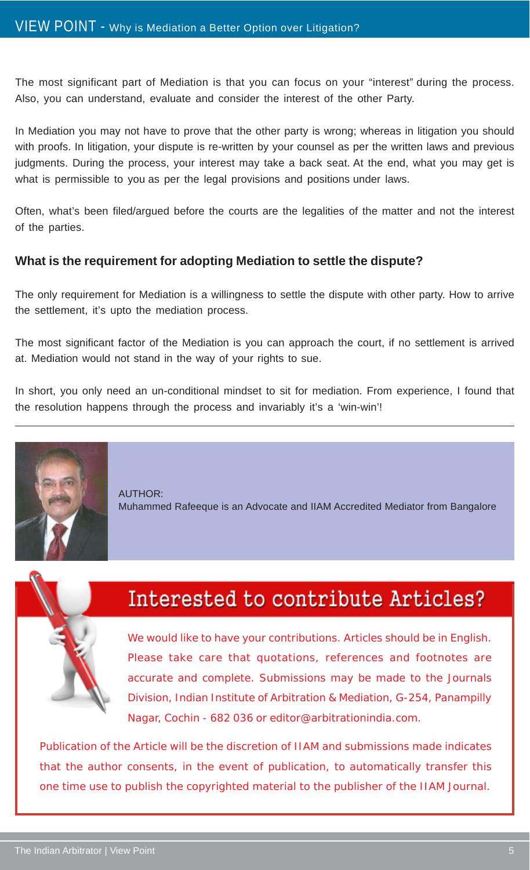The most significant part of Mediation is that you can focus on your "interest" during the process. Also, you can understand, evaluate and consider the interest of the other Party.

In Mediation you may not have to prove that the other party is wrong; whereas in litigation you should with proofs. In litigation, your dispute is re-written by your counsel as per the written laws and previous judgments. During the process, your interest may take a back seat. At the end, what you may get is what is permissible to you as per the legal provisions and positions under laws.

Often, what's been filed/argued before the courts are the legalities of the matter and not the interest of the parties.

#### **What is the requirement for adopting Mediation to settle the dispute?**

The only requirement for Mediation is a willingness to settle the dispute with other party. How to arrive the settlement, it's upto the mediation process.

The most significant factor of the Mediation is you can approach the court, if no settlement is arrived at. Mediation would not stand in the way of your rights to sue.

In short, you only need an un-conditional mindset to sit for mediation. From experience, I found that the resolution happens through the process and invariably it's a 'win-win'!



AUTHOR: Muhammed Rafeeque is an Advocate and IIAM Accredited Mediator from Bangalore



### Interested to contribute Articles?

We would like to have your contributions. Articles should be in English. Please take care that quotations, references and footnotes are accurate and complete. Submissions may be made to the Journals Division, Indian Institute of Arbitration & Mediation, G-254, Panampilly Nagar, Cochin - 682 036 or editor@arbitrationindia.com.

Publication of the Article will be the discretion of IIAM and submissions made indicates that the author consents, in the event of publication, to automatically transfer this one time use to publish the copyrighted material to the publisher of the IIAM Journal.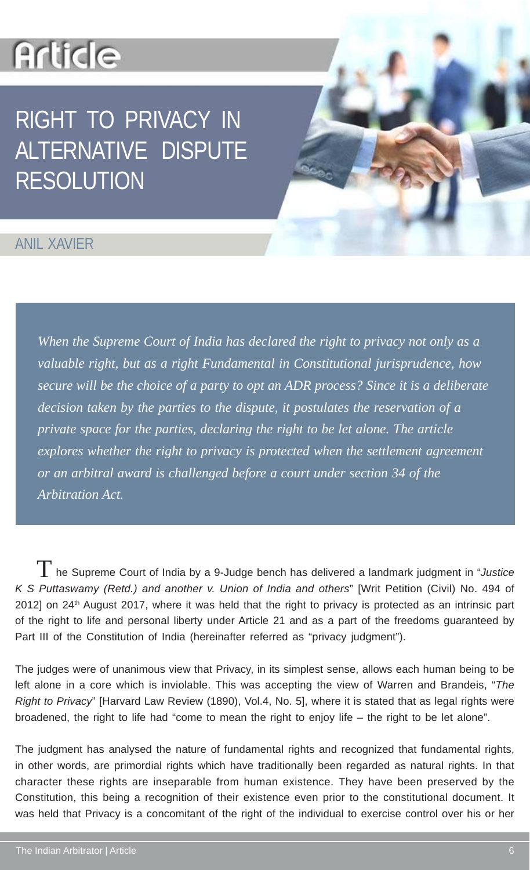# **Article**

# RIGHT TO PRIVACY IN ALTERNATIVE DISPUTE RESOLUTION

### ANIL XAVIER

*When the Supreme Court of India has declared the right to privacy not only as a valuable right, but as a right Fundamental in Constitutional jurisprudence, how secure will be the choice of a party to opt an ADR process? Since it is a deliberate decision taken by the parties to the dispute, it postulates the reservation of a private space for the parties, declaring the right to be let alone. The article explores whether the right to privacy is protected when the settlement agreement or an arbitral award is challenged before a court under section 34 of the Arbitration Act.*

 he Supreme Court of India by a 9-Judge bench has delivered a landmark judgment in "*Justice* T*K S Puttaswamy (Retd.) and another v. Union of India and others*" [Writ Petition (Civil) No. 494 of 2012] on 24<sup>th</sup> August 2017, where it was held that the right to privacy is protected as an intrinsic part of the right to life and personal liberty under Article 21 and as a part of the freedoms guaranteed by Part III of the Constitution of India (hereinafter referred as "privacy judgment").

The judges were of unanimous view that Privacy, in its simplest sense, allows each human being to be left alone in a core which is inviolable. This was accepting the view of Warren and Brandeis, "*The Right to Privacy*" [Harvard Law Review (1890), Vol.4, No. 5], where it is stated that as legal rights were broadened, the right to life had "come to mean the right to enjoy life – the right to be let alone".

The judgment has analysed the nature of fundamental rights and recognized that fundamental rights, in other words, are primordial rights which have traditionally been regarded as natural rights. In that character these rights are inseparable from human existence. They have been preserved by the Constitution, this being a recognition of their existence even prior to the constitutional document. It was held that Privacy is a concomitant of the right of the individual to exercise control over his or her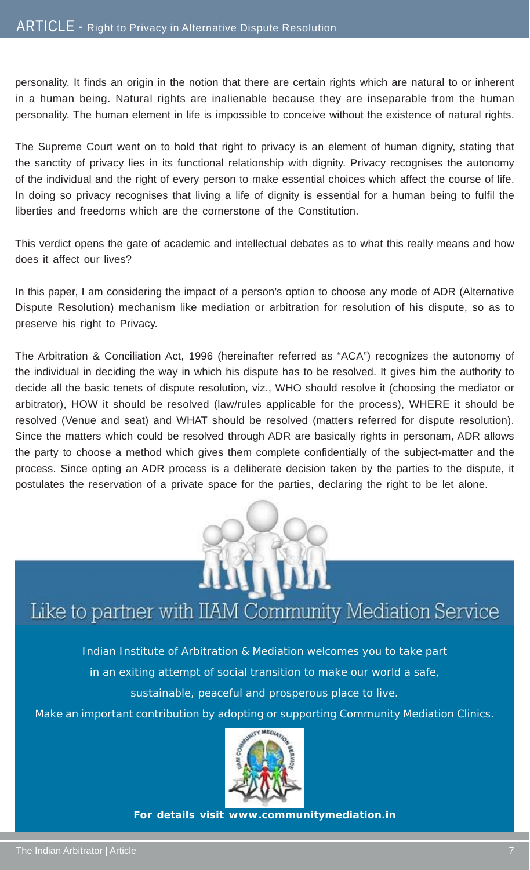personality. It finds an origin in the notion that there are certain rights which are natural to or inherent in a human being. Natural rights are inalienable because they are inseparable from the human personality. The human element in life is impossible to conceive without the existence of natural rights.

The Supreme Court went on to hold that right to privacy is an element of human dignity, stating that the sanctity of privacy lies in its functional relationship with dignity. Privacy recognises the autonomy of the individual and the right of every person to make essential choices which affect the course of life. In doing so privacy recognises that living a life of dignity is essential for a human being to fulfil the liberties and freedoms which are the cornerstone of the Constitution.

This verdict opens the gate of academic and intellectual debates as to what this really means and how does it affect our lives?

In this paper, I am considering the impact of a person's option to choose any mode of ADR (Alternative Dispute Resolution) mechanism like mediation or arbitration for resolution of his dispute, so as to preserve his right to Privacy.

The Arbitration & Conciliation Act, 1996 (hereinafter referred as "ACA") recognizes the autonomy of the individual in deciding the way in which his dispute has to be resolved. It gives him the authority to decide all the basic tenets of dispute resolution, viz., WHO should resolve it (choosing the mediator or arbitrator), HOW it should be resolved (law/rules applicable for the process), WHERE it should be resolved (Venue and seat) and WHAT should be resolved (matters referred for dispute resolution). Since the matters which could be resolved through ADR are basically rights in personam, ADR allows the party to choose a method which gives them complete confidentially of the subject-matter and the process. Since opting an ADR process is a deliberate decision taken by the parties to the dispute, it postulates the reservation of a private space for the parties, declaring the right to be let alone.



### Like to partner with IIAM Community Mediation Service

Indian Institute of Arbitration & Mediation welcomes you to take part

in an exiting attempt of social transition to make our world a safe,

sustainable, peaceful and prosperous place to live.

Make an important contribution by adopting or supporting Community Mediation Clinics.



**For details visit www.communitymediation.in**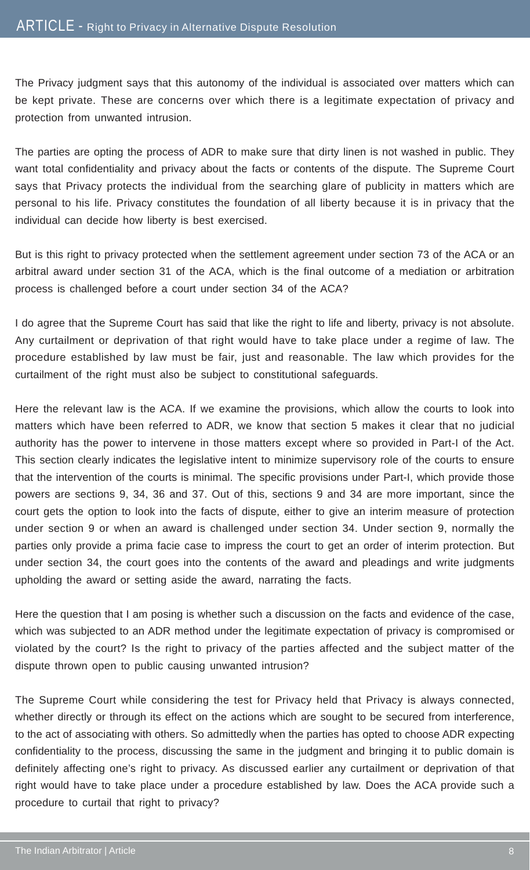The Privacy judgment says that this autonomy of the individual is associated over matters which can be kept private. These are concerns over which there is a legitimate expectation of privacy and protection from unwanted intrusion.

The parties are opting the process of ADR to make sure that dirty linen is not washed in public. They want total confidentiality and privacy about the facts or contents of the dispute. The Supreme Court says that Privacy protects the individual from the searching glare of publicity in matters which are personal to his life. Privacy constitutes the foundation of all liberty because it is in privacy that the individual can decide how liberty is best exercised.

But is this right to privacy protected when the settlement agreement under section 73 of the ACA or an arbitral award under section 31 of the ACA, which is the final outcome of a mediation or arbitration process is challenged before a court under section 34 of the ACA?

I do agree that the Supreme Court has said that like the right to life and liberty, privacy is not absolute. Any curtailment or deprivation of that right would have to take place under a regime of law. The procedure established by law must be fair, just and reasonable. The law which provides for the curtailment of the right must also be subject to constitutional safeguards.

Here the relevant law is the ACA. If we examine the provisions, which allow the courts to look into matters which have been referred to ADR, we know that section 5 makes it clear that no judicial authority has the power to intervene in those matters except where so provided in Part-I of the Act. This section clearly indicates the legislative intent to minimize supervisory role of the courts to ensure that the intervention of the courts is minimal. The specific provisions under Part-I, which provide those powers are sections 9, 34, 36 and 37. Out of this, sections 9 and 34 are more important, since the court gets the option to look into the facts of dispute, either to give an interim measure of protection under section 9 or when an award is challenged under section 34. Under section 9, normally the parties only provide a prima facie case to impress the court to get an order of interim protection. But under section 34, the court goes into the contents of the award and pleadings and write judgments upholding the award or setting aside the award, narrating the facts.

Here the question that I am posing is whether such a discussion on the facts and evidence of the case, which was subjected to an ADR method under the legitimate expectation of privacy is compromised or violated by the court? Is the right to privacy of the parties affected and the subject matter of the dispute thrown open to public causing unwanted intrusion?

The Supreme Court while considering the test for Privacy held that Privacy is always connected, whether directly or through its effect on the actions which are sought to be secured from interference, to the act of associating with others. So admittedly when the parties has opted to choose ADR expecting confidentiality to the process, discussing the same in the judgment and bringing it to public domain is definitely affecting one's right to privacy. As discussed earlier any curtailment or deprivation of that right would have to take place under a procedure established by law. Does the ACA provide such a procedure to curtail that right to privacy?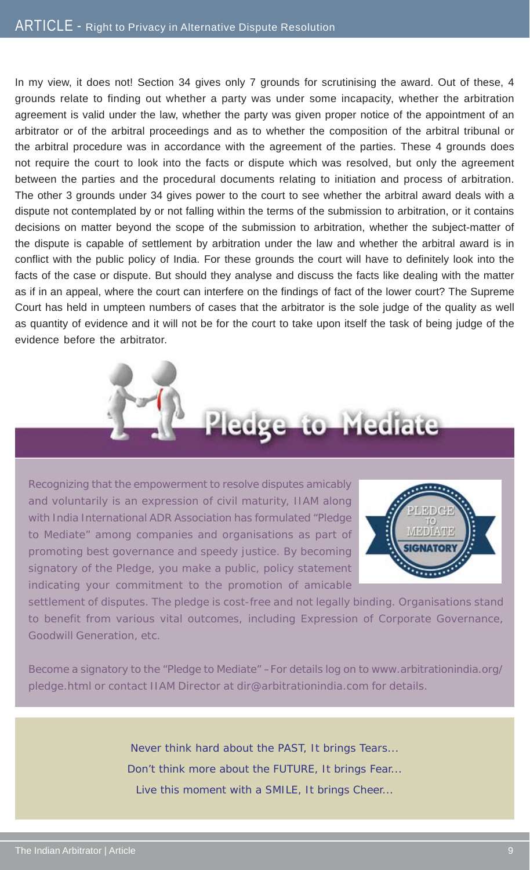In my view, it does not! Section 34 gives only 7 grounds for scrutinising the award. Out of these, 4 grounds relate to finding out whether a party was under some incapacity, whether the arbitration agreement is valid under the law, whether the party was given proper notice of the appointment of an arbitrator or of the arbitral proceedings and as to whether the composition of the arbitral tribunal or the arbitral procedure was in accordance with the agreement of the parties. These 4 grounds does not require the court to look into the facts or dispute which was resolved, but only the agreement between the parties and the procedural documents relating to initiation and process of arbitration. The other 3 grounds under 34 gives power to the court to see whether the arbitral award deals with a dispute not contemplated by or not falling within the terms of the submission to arbitration, or it contains decisions on matter beyond the scope of the submission to arbitration, whether the subject-matter of the dispute is capable of settlement by arbitration under the law and whether the arbitral award is in conflict with the public policy of India. For these grounds the court will have to definitely look into the facts of the case or dispute. But should they analyse and discuss the facts like dealing with the matter as if in an appeal, where the court can interfere on the findings of fact of the lower court? The Supreme Court has held in umpteen numbers of cases that the arbitrator is the sole judge of the quality as well as quantity of evidence and it will not be for the court to take upon itself the task of being judge of the evidence before the arbitrator.



Recognizing that the empowerment to resolve disputes amicably and voluntarily is an expression of civil maturity, IIAM along with India International ADR Association has formulated "Pledge to Mediate" among companies and organisations as part of promoting best governance and speedy justice. By becoming signatory of the Pledge, you make a public, policy statement indicating your commitment to the promotion of amicable



settlement of disputes. The pledge is cost-free and not legally binding. Organisations stand to benefit from various vital outcomes, including Expression of Corporate Governance, Goodwill Generation, etc.

Become a signatory to the "Pledge to Mediate" –For details log on to www.arbitrationindia.org/ pledge.html or contact IIAM Director at dir@arbitrationindia.com for details.

> Never think hard about the PAST, It brings Tears... Don't think more about the FUTURE, It brings Fear... Live this moment with a SMILE, It brings Cheer...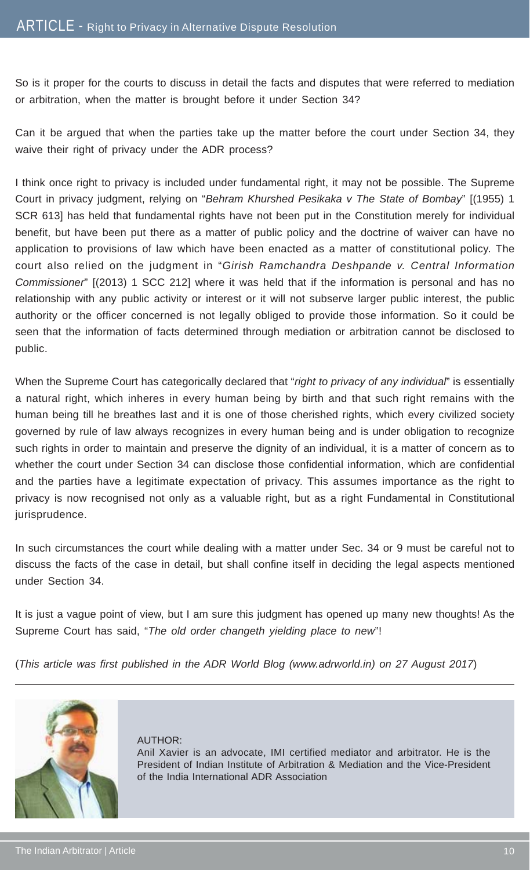So is it proper for the courts to discuss in detail the facts and disputes that were referred to mediation or arbitration, when the matter is brought before it under Section 34?

Can it be argued that when the parties take up the matter before the court under Section 34, they waive their right of privacy under the ADR process?

I think once right to privacy is included under fundamental right, it may not be possible. The Supreme Court in privacy judgment, relying on "*Behram Khurshed Pesikaka v The State of Bombay*" [(1955) 1 SCR 613] has held that fundamental rights have not been put in the Constitution merely for individual benefit, but have been put there as a matter of public policy and the doctrine of waiver can have no application to provisions of law which have been enacted as a matter of constitutional policy. The court also relied on the judgment in "*Girish Ramchandra Deshpande v. Central Information Commissioner*" [(2013) 1 SCC 212] where it was held that if the information is personal and has no relationship with any public activity or interest or it will not subserve larger public interest, the public authority or the officer concerned is not legally obliged to provide those information. So it could be seen that the information of facts determined through mediation or arbitration cannot be disclosed to public.

When the Supreme Court has categorically declared that "*right to privacy of any individual*" is essentially a natural right, which inheres in every human being by birth and that such right remains with the human being till he breathes last and it is one of those cherished rights, which every civilized society governed by rule of law always recognizes in every human being and is under obligation to recognize such rights in order to maintain and preserve the dignity of an individual, it is a matter of concern as to whether the court under Section 34 can disclose those confidential information, which are confidential and the parties have a legitimate expectation of privacy. This assumes importance as the right to privacy is now recognised not only as a valuable right, but as a right Fundamental in Constitutional jurisprudence.

In such circumstances the court while dealing with a matter under Sec. 34 or 9 must be careful not to discuss the facts of the case in detail, but shall confine itself in deciding the legal aspects mentioned under Section 34.

It is just a vague point of view, but I am sure this judgment has opened up many new thoughts! As the Supreme Court has said, "*The old order changeth yielding place to new*"!

(*This article was first published in the ADR World Blog (www.adrworld.in) on 27 August 2017*)



AUTHOR: Anil Xavier is an advocate, IMI certified mediator and arbitrator. He is the President of Indian Institute of Arbitration & Mediation and the Vice-President of the India International ADR Association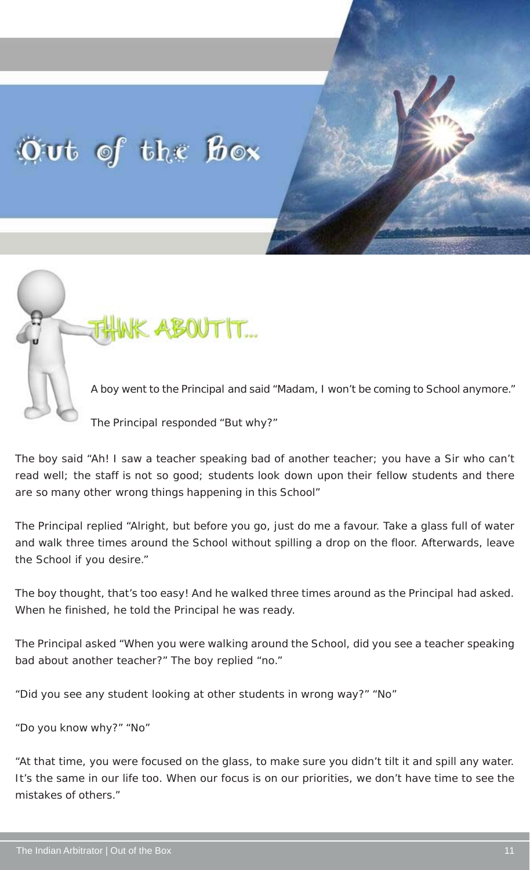# Out of the Box



The Principal responded "But why?"

The boy said "Ah! I saw a teacher speaking bad of another teacher; you have a Sir who can't read well; the staff is not so good; students look down upon their fellow students and there are so many other wrong things happening in this School"

The Principal replied "Alright, but before you go, just do me a favour. Take a glass full of water and walk three times around the School without spilling a drop on the floor. Afterwards, leave the School if you desire."

The boy thought, that's too easy! And he walked three times around as the Principal had asked. When he finished, he told the Principal he was ready.

The Principal asked "When you were walking around the School, did you see a teacher speaking bad about another teacher?" The boy replied "no."

"Did you see any student looking at other students in wrong way?" "No"

"Do you know why?" "No"

"At that time, you were focused on the glass, to make sure you didn't tilt it and spill any water. It's the same in our life too. When our focus is on our priorities, we don't have time to see the mistakes of others."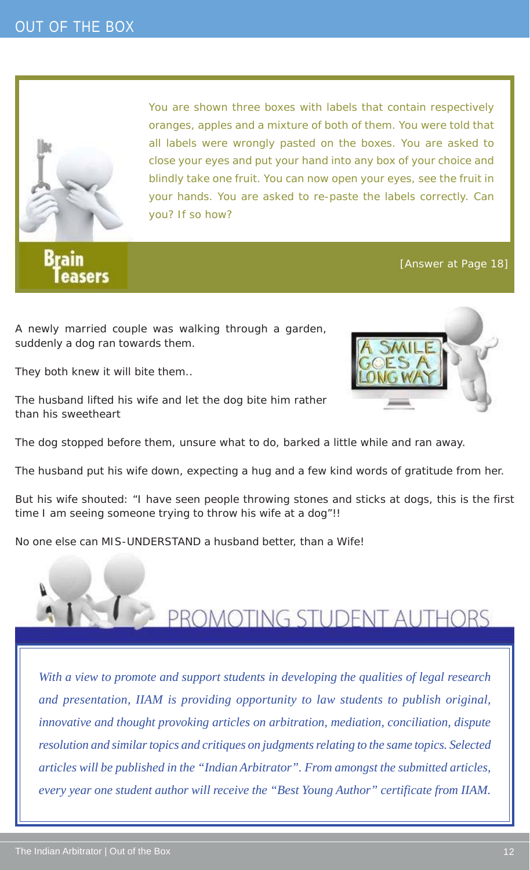

**Brain** easers You are shown three boxes with labels that contain respectively oranges, apples and a mixture of both of them. You were told that all labels were wrongly pasted on the boxes. You are asked to close your eyes and put your hand into any box of your choice and blindly take one fruit. You can now open your eyes, see the fruit in your hands. You are asked to re-paste the labels correctly. Can you? If so how?

#### [Answer at Page 18]

A newly married couple was walking through a garden, suddenly a dog ran towards them.

They both knew it will bite them..

The husband lifted his wife and let the dog bite him rather than his sweetheart

The dog stopped before them, unsure what to do, barked a little while and ran away.

The husband put his wife down, expecting a hug and a few kind words of gratitude from her.

But his wife shouted: "I have seen people throwing stones and sticks at dogs, this is the first time I am seeing someone trying to throw his wife at a dog"!!

No one else can MIS-UNDERSTAND a husband better, than a Wife!



*With a view to promote and support students in developing the qualities of legal research and presentation, IIAM is providing opportunity to law students to publish original, innovative and thought provoking articles on arbitration, mediation, conciliation, dispute resolution and similar topics and critiques on judgments relating to the same topics. Selected articles will be published in the "Indian Arbitrator". From amongst the submitted articles, every year one student author will receive the "Best Young Author" certificate from IIAM.*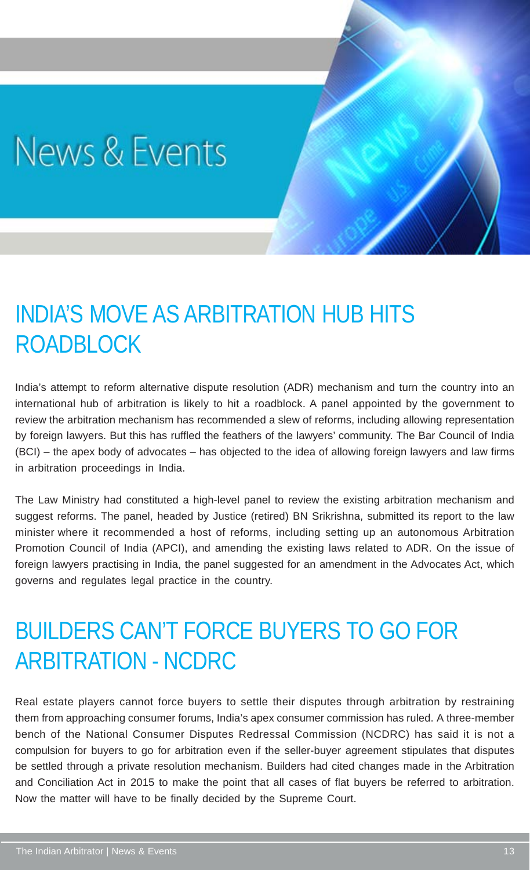# News & Events

### INDIA'S MOVE AS ARBITRATION HUB HITS ROADBLOCK

India's attempt to reform alternative dispute resolution (ADR) mechanism and turn the country into an international hub of arbitration is likely to hit a roadblock. A panel appointed by the government to review the arbitration mechanism has recommended a slew of reforms, including allowing representation by foreign lawyers. But this has ruffled the feathers of the lawyers' community. The Bar Council of India (BCI) – the apex body of advocates – has objected to the idea of allowing foreign lawyers and law firms in arbitration proceedings in India.

The Law Ministry had constituted a high-level panel to review the existing arbitration mechanism and suggest reforms. The panel, headed by Justice (retired) BN Srikrishna, submitted its report to the law minister where it recommended a host of reforms, including setting up an autonomous Arbitration Promotion Council of India (APCI), and amending the existing laws related to ADR. On the issue of foreign lawyers practising in India, the panel suggested for an amendment in the Advocates Act, which governs and regulates legal practice in the country.

### BUILDERS CAN'T FORCE BUYERS TO GO FOR ARBITRATION - NCDRC

Real estate players cannot force buyers to settle their disputes through arbitration by restraining them from approaching consumer forums, India's apex consumer commission has ruled. A three-member bench of the National Consumer Disputes Redressal Commission (NCDRC) has said it is not a compulsion for buyers to go for arbitration even if the seller-buyer agreement stipulates that disputes be settled through a private resolution mechanism. Builders had cited changes made in the Arbitration and Conciliation Act in 2015 to make the point that all cases of flat buyers be referred to arbitration. Now the matter will have to be finally decided by the Supreme Court.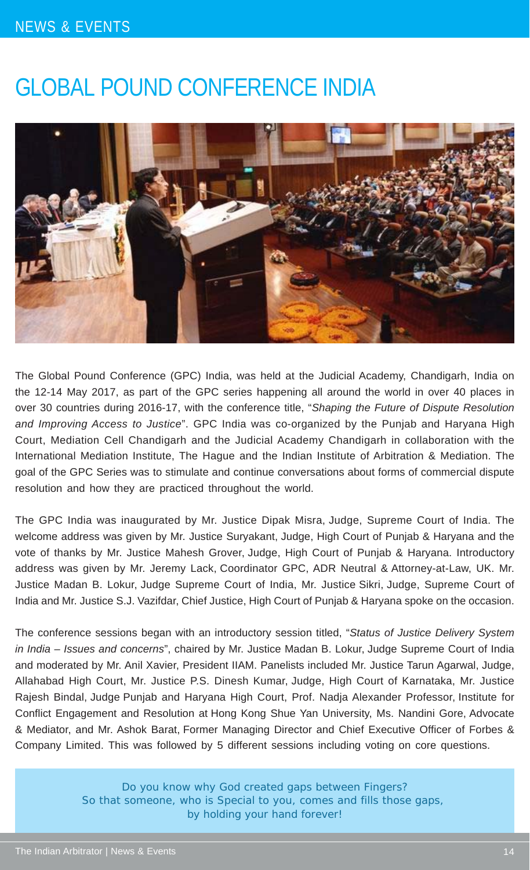### NEWS & EVENTS

### GLOBAL POUND CONFERENCE INDIA



The Global Pound Conference (GPC) India, was held at the Judicial Academy, Chandigarh, India on the 12-14 May 2017, as part of the GPC series happening all around the world in over 40 places in over 30 countries during 2016-17, with the conference title, "*Shaping the Future of Dispute Resolution and Improving Access to Justice*". GPC India was co-organized by the Punjab and Haryana High Court, Mediation Cell Chandigarh and the Judicial Academy Chandigarh in collaboration with the International Mediation Institute, The Hague and the Indian Institute of Arbitration & Mediation. The goal of the GPC Series was to stimulate and continue conversations about forms of commercial dispute resolution and how they are practiced throughout the world.

The GPC India was inaugurated by Mr. Justice Dipak Misra, Judge, Supreme Court of India. The welcome address was given by Mr. Justice Suryakant, Judge, High Court of Punjab & Haryana and the vote of thanks by Mr. Justice Mahesh Grover, Judge, High Court of Punjab & Haryana. Introductory address was given by Mr. Jeremy Lack, Coordinator GPC, ADR Neutral & Attorney-at-Law, UK. Mr. Justice Madan B. Lokur, Judge Supreme Court of India, Mr. Justice Sikri, Judge, Supreme Court of India and Mr. Justice S.J. Vazifdar, Chief Justice, High Court of Punjab & Haryana spoke on the occasion.

The conference sessions began with an introductory session titled, "*Status of Justice Delivery System in India – Issues and concerns*", chaired by Mr. Justice Madan B. Lokur, Judge Supreme Court of India and moderated by Mr. Anil Xavier, President IIAM. Panelists included Mr. Justice Tarun Agarwal, Judge, Allahabad High Court, Mr. Justice P.S. Dinesh Kumar, Judge, High Court of Karnataka, Mr. Justice Rajesh Bindal, Judge Punjab and Haryana High Court, Prof. Nadja Alexander Professor, Institute for Conflict Engagement and Resolution at Hong Kong Shue Yan University, Ms. Nandini Gore, Advocate & Mediator, and Mr. Ashok Barat, Former Managing Director and Chief Executive Officer of Forbes & Company Limited. This was followed by 5 different sessions including voting on core questions.

> Do you know why God created gaps between Fingers? So that someone, who is Special to you, comes and fills those gaps, by holding your hand forever!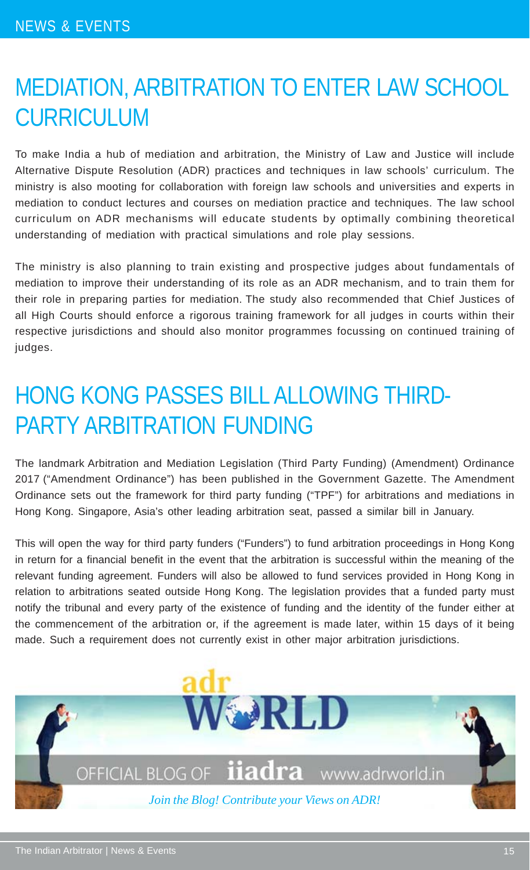### MEDIATION, ARBITRATION TO ENTER LAW SCHOOL CURRICULUM

To make India a hub of mediation and arbitration, the Ministry of Law and Justice will include Alternative Dispute Resolution (ADR) practices and techniques in law schools' curriculum. The ministry is also mooting for collaboration with foreign law schools and universities and experts in mediation to conduct lectures and courses on mediation practice and techniques. The law school curriculum on ADR mechanisms will educate students by optimally combining theoretical understanding of mediation with practical simulations and role play sessions.

The ministry is also planning to train existing and prospective judges about fundamentals of mediation to improve their understanding of its role as an ADR mechanism, and to train them for their role in preparing parties for mediation. The study also recommended that Chief Justices of all High Courts should enforce a rigorous training framework for all judges in courts within their respective jurisdictions and should also monitor programmes focussing on continued training of judges.

# HONG KONG PASSES BILL ALLOWING THIRD-PARTY ARBITRATION FUNDING

The landmark Arbitration and Mediation Legislation (Third Party Funding) (Amendment) Ordinance 2017 ("Amendment Ordinance") has been published in the Government Gazette. The Amendment Ordinance sets out the framework for third party funding ("TPF") for arbitrations and mediations in Hong Kong. Singapore, Asia's other leading arbitration seat, passed a similar bill in January.

This will open the way for third party funders ("Funders") to fund arbitration proceedings in Hong Kong in return for a financial benefit in the event that the arbitration is successful within the meaning of the relevant funding agreement. Funders will also be allowed to fund services provided in Hong Kong in relation to arbitrations seated outside Hong Kong. The legislation provides that a funded party must notify the tribunal and every party of the existence of funding and the identity of the funder either at the commencement of the arbitration or, if the agreement is made later, within 15 days of it being made. Such a requirement does not currently exist in other major arbitration jurisdictions.

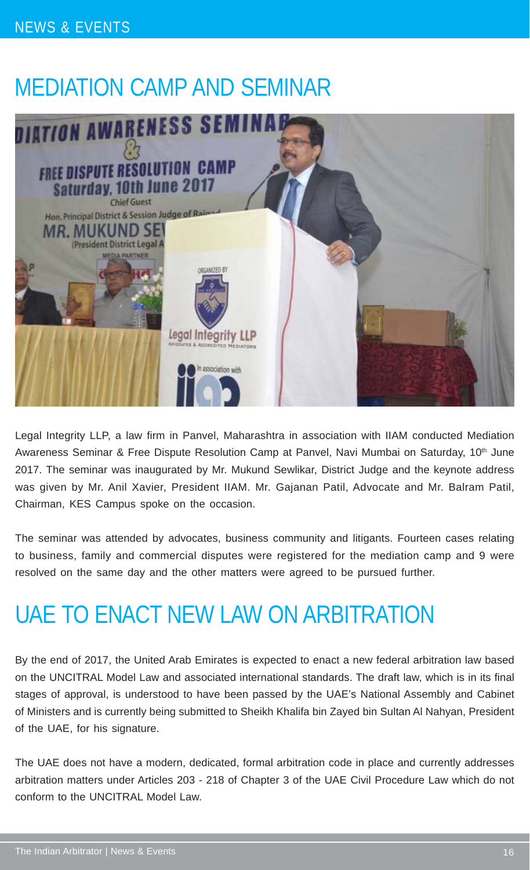### NEWS & EVENTS

### MEDIATION CAMP AND SEMINAR



Legal Integrity LLP, a law firm in Panvel, Maharashtra in association with IIAM conducted Mediation Awareness Seminar & Free Dispute Resolution Camp at Panvel, Navi Mumbai on Saturday, 10<sup>th</sup> June 2017. The seminar was inaugurated by Mr. Mukund Sewlikar, District Judge and the keynote address was given by Mr. Anil Xavier, President IIAM. Mr. Gajanan Patil, Advocate and Mr. Balram Patil, Chairman, KES Campus spoke on the occasion.

The seminar was attended by advocates, business community and litigants. Fourteen cases relating to business, family and commercial disputes were registered for the mediation camp and 9 were resolved on the same day and the other matters were agreed to be pursued further.

### UAE TO ENACT NEW LAW ON ARBITRATION

By the end of 2017, the United Arab Emirates is expected to enact a new federal arbitration law based on the UNCITRAL Model Law and associated international standards. The draft law, which is in its final stages of approval, is understood to have been passed by the UAE's National Assembly and Cabinet of Ministers and is currently being submitted to Sheikh Khalifa bin Zayed bin Sultan Al Nahyan, President of the UAE, for his signature.

The UAE does not have a modern, dedicated, formal arbitration code in place and currently addresses arbitration matters under Articles 203 - 218 of Chapter 3 of the UAE Civil Procedure Law which do not conform to the UNCITRAL Model Law.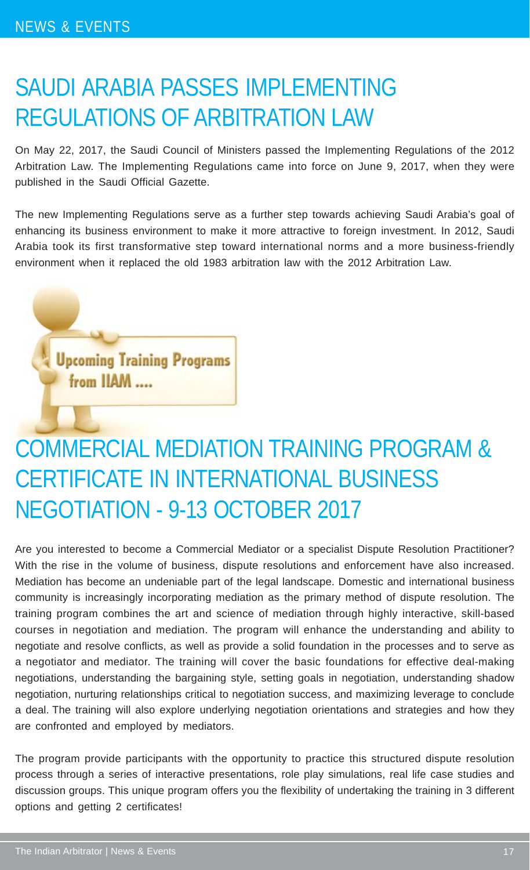### SAUDI ARABIA PASSES IMPLEMENTING REGULATIONS OF ARBITRATION LAW

On May 22, 2017, the Saudi Council of Ministers passed the Implementing Regulations of the 2012 Arbitration Law. The Implementing Regulations came into force on June 9, 2017, when they were published in the Saudi Official Gazette.

The new Implementing Regulations serve as a further step towards achieving Saudi Arabia's goal of enhancing its business environment to make it more attractive to foreign investment. In 2012, Saudi Arabia took its first transformative step toward international norms and a more business-friendly environment when it replaced the old 1983 arbitration law with the 2012 Arbitration Law.

**Upcoming Training Programs** from IIAM ....

# COMMERCIAL MEDIATION TRAINING PROGRAM & CERTIFICATE IN INTERNATIONAL BUSINESS NEGOTIATION - 9-13 OCTOBER 2017

Are you interested to become a Commercial Mediator or a specialist Dispute Resolution Practitioner? With the rise in the volume of business, dispute resolutions and enforcement have also increased. Mediation has become an undeniable part of the legal landscape. Domestic and international business community is increasingly incorporating mediation as the primary method of dispute resolution. The training program combines the art and science of mediation through highly interactive, skill-based courses in negotiation and mediation. The program will enhance the understanding and ability to negotiate and resolve conflicts, as well as provide a solid foundation in the processes and to serve as a negotiator and mediator. The training will cover the basic foundations for effective deal-making negotiations, understanding the bargaining style, setting goals in negotiation, understanding shadow negotiation, nurturing relationships critical to negotiation success, and maximizing leverage to conclude a deal. The training will also explore underlying negotiation orientations and strategies and how they are confronted and employed by mediators.

The program provide participants with the opportunity to practice this structured dispute resolution process through a series of interactive presentations, role play simulations, real life case studies and discussion groups. This unique program offers you the flexibility of undertaking the training in 3 different options and getting 2 certificates!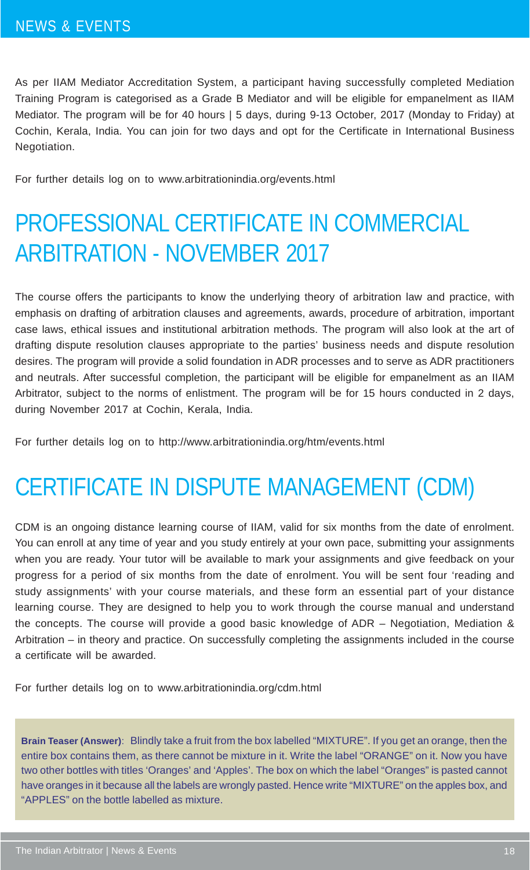As per IIAM Mediator Accreditation System, a participant having successfully completed Mediation Training Program is categorised as a Grade B Mediator and will be eligible for empanelment as IIAM Mediator. The program will be for 40 hours | 5 days, during 9-13 October, 2017 (Monday to Friday) at Cochin, Kerala, India. You can join for two days and opt for the Certificate in International Business Negotiation.

For further details log on to www.arbitrationindia.org/events.html

### PROFESSIONAL CERTIFICATE IN COMMERCIAL ARBITRATION - NOVEMBER 2017

The course offers the participants to know the underlying theory of arbitration law and practice, with emphasis on drafting of arbitration clauses and agreements, awards, procedure of arbitration, important case laws, ethical issues and institutional arbitration methods. The program will also look at the art of drafting dispute resolution clauses appropriate to the parties' business needs and dispute resolution desires. The program will provide a solid foundation in ADR processes and to serve as ADR practitioners and neutrals. After successful completion, the participant will be eligible for empanelment as an IIAM Arbitrator, subject to the norms of enlistment. The program will be for 15 hours conducted in 2 days, during November 2017 at Cochin, Kerala, India.

For further details log on to http://www.arbitrationindia.org/htm/events.html

### CERTIFICATE IN DISPUTE MANAGEMENT (CDM)

CDM is an ongoing distance learning course of IIAM, valid for six months from the date of enrolment. You can enroll at any time of year and you study entirely at your own pace, submitting your assignments when you are ready. Your tutor will be available to mark your assignments and give feedback on your progress for a period of six months from the date of enrolment. You will be sent four 'reading and study assignments' with your course materials, and these form an essential part of your distance learning course. They are designed to help you to work through the course manual and understand the concepts. The course will provide a good basic knowledge of ADR – Negotiation, Mediation & Arbitration – in theory and practice. On successfully completing the assignments included in the course a certificate will be awarded.

For further details log on to www.arbitrationindia.org/cdm.html

**Brain Teaser (Answer)**: Blindly take a fruit from the box labelled "MIXTURE". If you get an orange, then the entire box contains them, as there cannot be mixture in it. Write the label "ORANGE" on it. Now you have two other bottles with titles 'Oranges' and 'Apples'. The box on which the label "Oranges" is pasted cannot have oranges in it because all the labels are wrongly pasted. Hence write "MIXTURE" on the apples box, and "APPLES" on the bottle labelled as mixture.